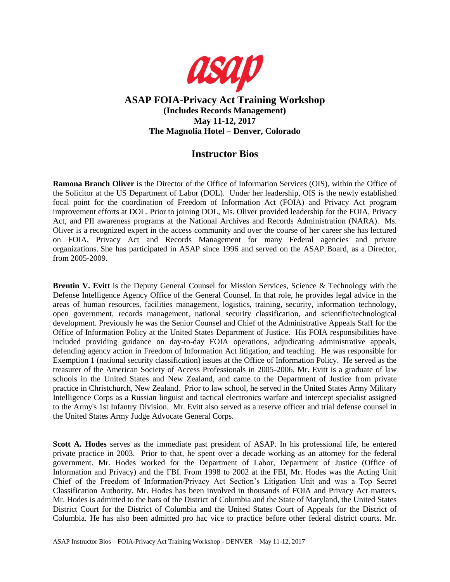

## **ASAP FOIA-Privacy Act Training Workshop (Includes Records Management) May 11-12, 2017 The Magnolia Hotel – Denver, Colorado**

## **Instructor Bios**

**Ramona Branch Oliver** is the Director of the Office of Information Services (OIS), within the Office of the Solicitor at the US Department of Labor (DOL). Under her leadership, OIS is the newly established focal point for the coordination of Freedom of Information Act (FOIA) and Privacy Act program improvement efforts at DOL. Prior to joining DOL, Ms. Oliver provided leadership for the FOIA, Privacy Act, and PII awareness programs at the National Archives and Records Administration (NARA). Ms. Oliver is a recognized expert in the access community and over the course of her career she has lectured on FOIA, Privacy Act and Records Management for many Federal agencies and private organizations. She has participated in ASAP since 1996 and served on the ASAP Board, as a Director, from 2005-2009.

**Brentin V. Evitt** is the Deputy General Counsel for Mission Services, Science & Technology with the Defense Intelligence Agency Office of the General Counsel. In that role, he provides legal advice in the areas of human resources, facilities management, logistics, training, security, information technology, open government, records management, national security classification, and scientific/technological development. Previously he was the Senior Counsel and Chief of the Administrative Appeals Staff for the Office of Information Policy at the United States Department of Justice. His FOIA responsibilities have included providing guidance on day-to-day FOIA operations, adjudicating administrative appeals, defending agency action in Freedom of Information Act litigation, and teaching. He was responsible for Exemption 1 (national security classification) issues at the Office of Information Policy. He served as the treasurer of the American Society of Access Professionals in 2005-2006. Mr. Evitt is a graduate of law schools in the United States and New Zealand, and came to the Department of Justice from private practice in Christchurch, New Zealand. Prior to law school, he served in the United States Army Military Intelligence Corps as a Russian linguist and tactical electronics warfare and intercept specialist assigned to the Army's 1st Infantry Division. Mr. Evitt also served as a reserve officer and trial defense counsel in the United States Army Judge Advocate General Corps.

**Scott A. Hodes** serves as the immediate past president of ASAP. In his professional life, he entered private practice in 2003. Prior to that, he spent over a decade working as an attorney for the federal government. Mr. Hodes worked for the Department of Labor, Department of Justice (Office of Information and Privacy) and the FBI. From 1998 to 2002 at the FBI, Mr. Hodes was the Acting Unit Chief of the Freedom of Information/Privacy Act Section's Litigation Unit and was a Top Secret Classification Authority. Mr. Hodes has been involved in thousands of FOIA and Privacy Act matters. Mr. Hodes is admitted to the bars of the District of Columbia and the State of Maryland, the United States District Court for the District of Columbia and the United States Court of Appeals for the District of Columbia. He has also been admitted pro hac vice to practice before other federal district courts. Mr.